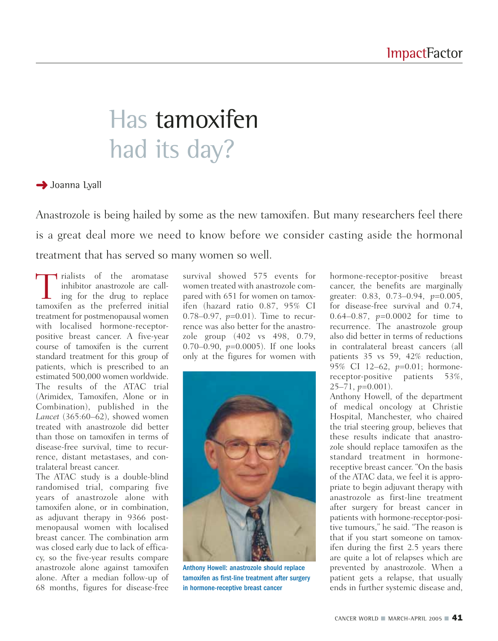# Has tamoxifen had its day?

**→** Joanna Lyall

Anastrozole is being hailed by some as the new tamoxifen. But many researchers feel there is a great deal more we need to know before we consider casting aside the hormonal treatment that has served so many women so well.

Trialists of the aromatase<br>inhibitor anastrozole are call-<br>ing for the drug to replace<br>tamoxifen as the preferred initial inhibitor anastrozole are calling for the drug to replace tamoxifen as the preferred initial treatment for postmenopausal women with localised hormone-receptorpositive breast cancer. A five-year course of tamoxifen is the current standard treatment for this group of patients, which is prescribed to an estimated 500,000 women worldwide. The results of the ATAC trial (Arimidex, Tamoxifen, Alone or in Combination), published in the *Lancet* (365:60–62), showed women treated with anastrozole did better than those on tamoxifen in terms of disease-free survival, time to recurrence, distant metastases, and contralateral breast cancer.

The ATAC study is a double-blind randomised trial, comparing five years of anastrozole alone with tamoxifen alone, or in combination, as adjuvant therapy in 9366 postmenopausal women with localised breast cancer. The combination arm was closed early due to lack of efficacy, so the five-year results compare anastrozole alone against tamoxifen alone. After a median follow-up of 68 months, figures for disease-free

survival showed 575 events for women treated with anastrozole compared with 651 for women on tamoxifen (hazard ratio 0.87, 95% CI 0.78–0.97, *p*=0.01). Time to recurrence was also better for the anastrozole group (402 vs 498, 0.79, 0.70–0.90, *p*=0.0005). If one looks only at the figures for women with



Anthony Howell: anastrozole should replace tamoxifen as first-line treatment after surgery in hormone-receptive breast cancer

hormone-receptor-positive breast cancer, the benefits are marginally greater: 0.83, 0.73–0.94, *p*=0.005, for disease-free survival and 0.74, 0.64–0.87, *p*=0.0002 for time to recurrence. The anastrozole group also did better in terms of reductions in contralateral breast cancers (all patients 35 vs 59, 42% reduction, 95% CI 12–62, *p*=0.01; hormonereceptor-positive patients 53%, 25–71, *p*=0.001).

Anthony Howell, of the department of medical oncology at Christie Hospital, Manchester, who chaired the trial steering group, believes that these results indicate that anastrozole should replace tamoxifen as the standard treatment in hormonereceptive breast cancer. "On the basis of the ATAC data, we feel it is appropriate to begin adjuvant therapy with anastrozole as first-line treatment after surgery for breast cancer in patients with hormone-receptor-positive tumours," he said. "The reason is that if you start someone on tamoxifen during the first 2.5 years there are quite a lot of relapses which are prevented by anastrozole. When a patient gets a relapse, that usually ends in further systemic disease and,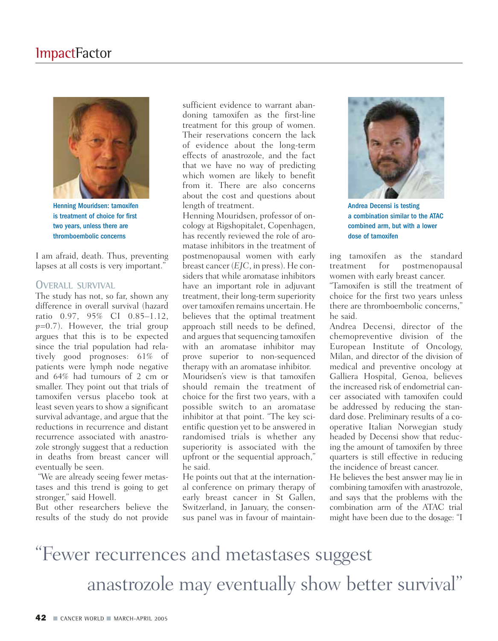

Henning Mouridsen: tamoxifen is treatment of choice for first two years, unless there are thromboembolic concerns

I am afraid, death. Thus, preventing lapses at all costs is very important."

#### **OVERALL SURVIVAL**

The study has not, so far, shown any difference in overall survival (hazard ratio 0.97, 95% CI 0.85–1.12, *p*=0.7). However, the trial group argues that this is to be expected since the trial population had relatively good prognoses: 61% of patients were lymph node negative and 64% had tumours of 2 cm or smaller. They point out that trials of tamoxifen versus placebo took at least seven years to show a significant survival advantage, and argue that the reductions in recurrence and distant recurrence associated with anastrozole strongly suggest that a reduction in deaths from breast cancer will eventually be seen.

"We are already seeing fewer metastases and this trend is going to get stronger," said Howell.

But other researchers believe the results of the study do not provide

sufficient evidence to warrant abandoning tamoxifen as the first-line treatment for this group of women. Their reservations concern the lack of evidence about the long-term effects of anastrozole, and the fact that we have no way of predicting which women are likely to benefit from it. There are also concerns about the cost and questions about length of treatment.

Henning Mouridsen, professor of oncology at Rigshopitalet, Copenhagen, has recently reviewed the role of aromatase inhibitors in the treatment of postmenopausal women with early breast cancer (*EJC*, in press). He considers that while aromatase inhibitors have an important role in adjuvant treatment, their long-term superiority over tamoxifen remains uncertain. He believes that the optimal treatment approach still needs to be defined, and argues that sequencing tamoxifen with an aromatase inhibitor may prove superior to non-sequenced therapy with an aromatase inhibitor. Mouridsen's view is that tamoxifen should remain the treatment of choice for the first two years, with a possible switch to an aromatase inhibitor at that point. "The key scientific question yet to be answered in randomised trials is whether any superiority is associated with the upfront or the sequential approach," he said.

He points out that at the international conference on primary therapy of early breast cancer in St Gallen, Switzerland, in January, the consensus panel was in favour of maintain-



Andrea Decensi is testing a combination similar to the ATAC combined arm, but with a lower dose of tamoxifen

ing tamoxifen as the standard treatment for postmenopausal women with early breast cancer.

"Tamoxifen is still the treatment of choice for the first two years unless there are thromboembolic concerns," he said.

Andrea Decensi, director of the chemopreventive division of the European Institute of Oncology, Milan, and director of the division of medical and preventive oncology at Galliera Hospital, Genoa, believes the increased risk of endometrial cancer associated with tamoxifen could be addressed by reducing the standard dose. Preliminary results of a cooperative Italian Norwegian study headed by Decensi show that reducing the amount of tamoxifen by three quarters is still effective in reducing the incidence of breast cancer.

He believes the best answer may lie in combining tamoxifen with anastrozole, and says that the problems with the combination arm of the ATAC trial might have been due to the dosage: "I

### "Fewer recurrences and metastases suggest anastrozole may eventually show better survival"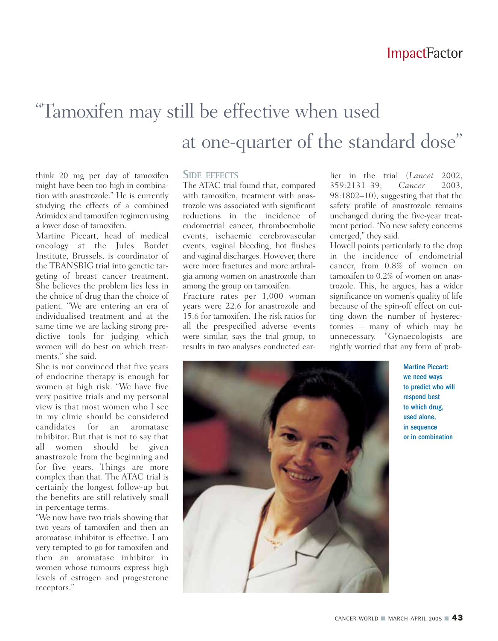### "Tamoxifen may still be effective when used at one-quarter of the standard dose"

think 20 mg per day of tamoxifen might have been too high in combination with anastrozole." He is currently studying the effects of a combined Arimidex and tamoxifen regimen using a lower dose of tamoxifen.

Martine Piccart, head of medical oncology at the Jules Bordet Institute, Brussels, is coordinator of the TRANSBIG trial into genetic targeting of breast cancer treatment. She believes the problem lies less in the choice of drug than the choice of patient. "We are entering an era of individualised treatment and at the same time we are lacking strong predictive tools for judging which women will do best on which treatments," she said.

She is not convinced that five years of endocrine therapy is enough for women at high risk. "We have five very positive trials and my personal view is that most women who I see in my clinic should be considered candidates for an aromatase inhibitor. But that is not to say that all women should be given anastrozole from the beginning and for five years. Things are more complex than that. The ATAC trial is certainly the longest follow-up but the benefits are still relatively small in percentage terms.

"We now have two trials showing that two years of tamoxifen and then an aromatase inhibitor is effective. I am very tempted to go for tamoxifen and then an aromatase inhibitor in women whose tumours express high levels of estrogen and progesterone receptors."

#### **SIDE EFFECTS**

The ATAC trial found that, compared with tamoxifen, treatment with anastrozole was associated with significant reductions in the incidence of endometrial cancer, thromboembolic events, ischaemic cerebrovascular events, vaginal bleeding, hot flushes and vaginal discharges. However, there were more fractures and more arthralgia among women on anastrozole than among the group on tamoxifen.

Fracture rates per 1,000 woman years were 22.6 for anastrozole and 15.6 for tamoxifen. The risk ratios for all the prespecified adverse events were similar, says the trial group, to results in two analyses conducted earlier in the trial (*Lancet* 2002, 359:2131–39; *Cancer* 2003, 98:1802–10), suggesting that that the safety profile of anastrozole remains unchanged during the five-year treatment period. "No new safety concerns emerged," they said.

Howell points particularly to the drop in the incidence of endometrial cancer, from 0.8% of women on tamoxifen to 0.2% of women on anastrozole. This, he argues, has a wider significance on women's quality of life because of the spin-off effect on cutting down the number of hysterectomies – many of which may be unnecessary. "Gynaecologists are rightly worried that any form of prob-



Martine Piccart: we need ways to predict who will respond best to which drug, used alone, in sequence or in combination